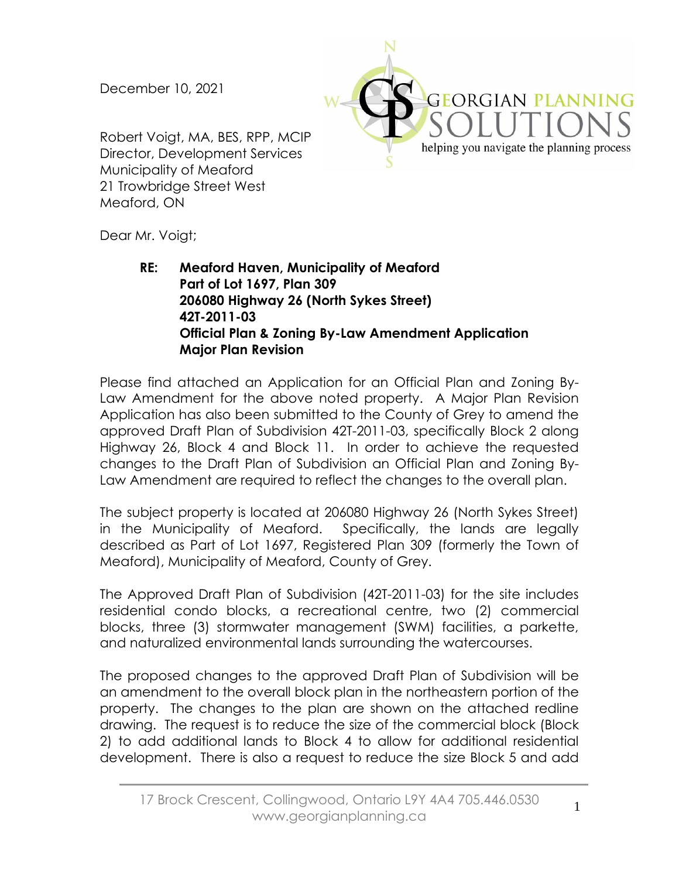December 10, 2021

Robert Voigt, MA, BES, RPP, MCIP Director, Development Services Municipality of Meaford 21 Trowbridge Street West Meaford, ON



Dear Mr. Voigt;

**RE: Meaford Haven, Municipality of Meaford Part of Lot 1697, Plan 309 206080 Highway 26 (North Sykes Street) 42T-2011-03 Official Plan & Zoning By-Law Amendment Application Major Plan Revision**

Please find attached an Application for an Official Plan and Zoning By-Law Amendment for the above noted property. A Major Plan Revision Application has also been submitted to the County of Grey to amend the approved Draft Plan of Subdivision 42T-2011-03, specifically Block 2 along Highway 26, Block 4 and Block 11. In order to achieve the requested changes to the Draft Plan of Subdivision an Official Plan and Zoning By-Law Amendment are required to reflect the changes to the overall plan.

The subject property is located at 206080 Highway 26 (North Sykes Street) in the Municipality of Meaford. Specifically, the lands are legally described as Part of Lot 1697, Registered Plan 309 (formerly the Town of Meaford), Municipality of Meaford, County of Grey.

The Approved Draft Plan of Subdivision (42T-2011-03) for the site includes residential condo blocks, a recreational centre, two (2) commercial blocks, three (3) stormwater management (SWM) facilities, a parkette, and naturalized environmental lands surrounding the watercourses.

The proposed changes to the approved Draft Plan of Subdivision will be an amendment to the overall block plan in the northeastern portion of the property. The changes to the plan are shown on the attached redline drawing. The request is to reduce the size of the commercial block (Block 2) to add additional lands to Block 4 to allow for additional residential development. There is also a request to reduce the size Block 5 and add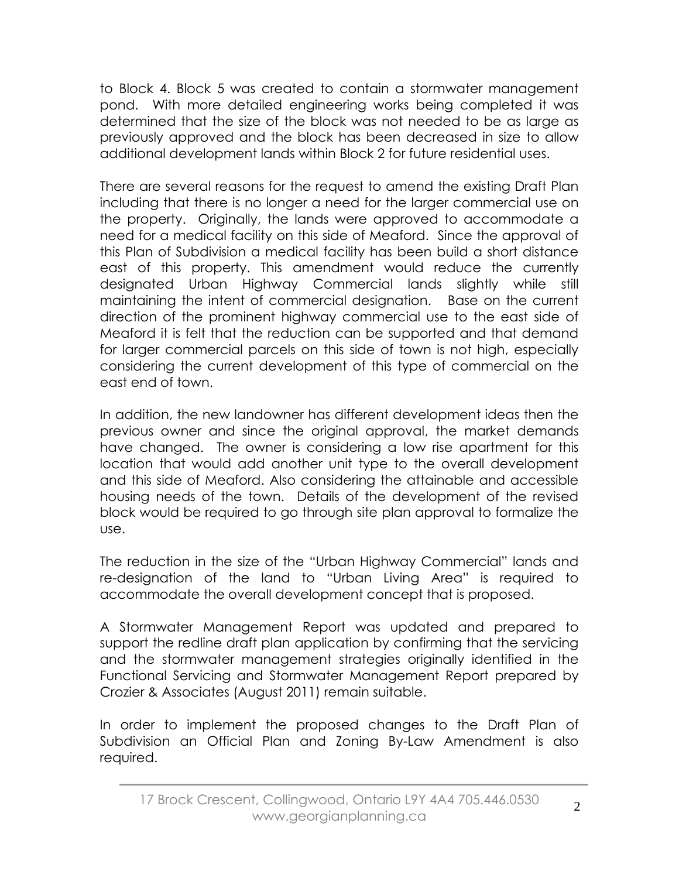to Block 4. Block 5 was created to contain a stormwater management pond. With more detailed engineering works being completed it was determined that the size of the block was not needed to be as large as previously approved and the block has been decreased in size to allow additional development lands within Block 2 for future residential uses.

There are several reasons for the request to amend the existing Draft Plan including that there is no longer a need for the larger commercial use on the property. Originally, the lands were approved to accommodate a need for a medical facility on this side of Meaford. Since the approval of this Plan of Subdivision a medical facility has been build a short distance east of this property. This amendment would reduce the currently designated Urban Highway Commercial lands slightly while still maintaining the intent of commercial designation. Base on the current direction of the prominent highway commercial use to the east side of Meaford it is felt that the reduction can be supported and that demand for larger commercial parcels on this side of town is not high, especially considering the current development of this type of commercial on the east end of town.

In addition, the new landowner has different development ideas then the previous owner and since the original approval, the market demands have changed. The owner is considering a low rise apartment for this location that would add another unit type to the overall development and this side of Meaford. Also considering the attainable and accessible housing needs of the town. Details of the development of the revised block would be required to go through site plan approval to formalize the use.

The reduction in the size of the "Urban Highway Commercial" lands and re-designation of the land to "Urban Living Area" is required to accommodate the overall development concept that is proposed.

A Stormwater Management Report was updated and prepared to support the redline draft plan application by confirming that the servicing and the stormwater management strategies originally identified in the Functional Servicing and Stormwater Management Report prepared by Crozier & Associates (August 2011) remain suitable.

In order to implement the proposed changes to the Draft Plan of Subdivision an Official Plan and Zoning By-Law Amendment is also required.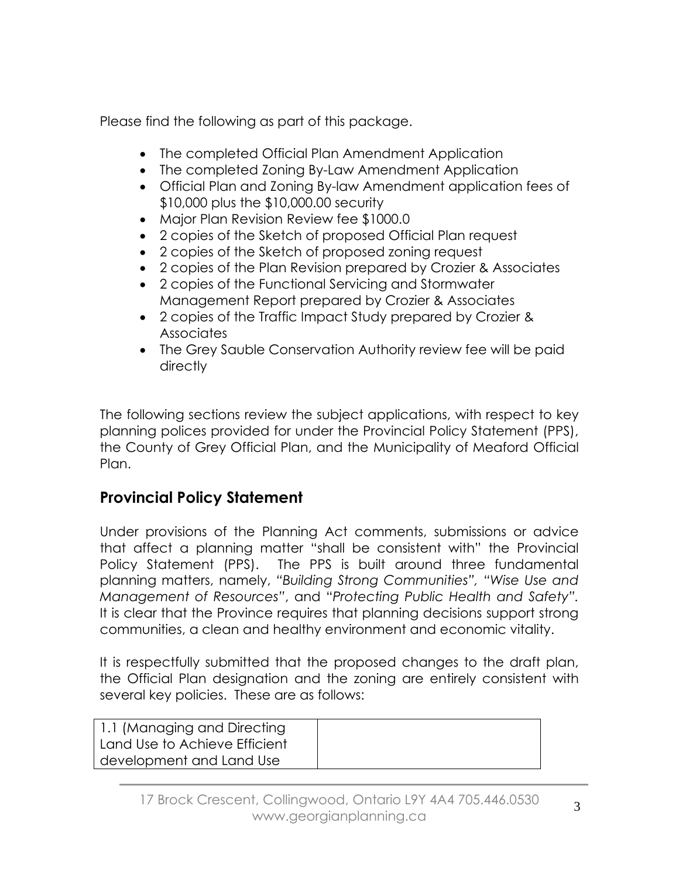Please find the following as part of this package.

- The completed Official Plan Amendment Application
- The completed Zoning By-Law Amendment Application
- Official Plan and Zoning By-law Amendment application fees of \$10,000 plus the \$10,000.00 security
- Major Plan Revision Review fee \$1000.0
- 2 copies of the Sketch of proposed Official Plan request
- 2 copies of the Sketch of proposed zoning request
- 2 copies of the Plan Revision prepared by Crozier & Associates
- 2 copies of the Functional Servicing and Stormwater Management Report prepared by Crozier & Associates
- 2 copies of the Traffic Impact Study prepared by Crozier & **Associates**
- The Grey Sauble Conservation Authority review fee will be paid directly

The following sections review the subject applications, with respect to key planning polices provided for under the Provincial Policy Statement (PPS), the County of Grey Official Plan, and the Municipality of Meaford Official Plan.

## **Provincial Policy Statement**

Under provisions of the Planning Act comments, submissions or advice that affect a planning matter "shall be consistent with" the Provincial Policy Statement (PPS). The PPS is built around three fundamental planning matters, namely, *"Building Strong Communities", "Wise Use and Management of Resources"*, and "*Protecting Public Health and Safety".* It is clear that the Province requires that planning decisions support strong communities, a clean and healthy environment and economic vitality.

It is respectfully submitted that the proposed changes to the draft plan, the Official Plan designation and the zoning are entirely consistent with several key policies. These are as follows:

| 1.1 (Managing and Directing<br>Land Use to Achieve Efficient |  |
|--------------------------------------------------------------|--|
| development and Land Use                                     |  |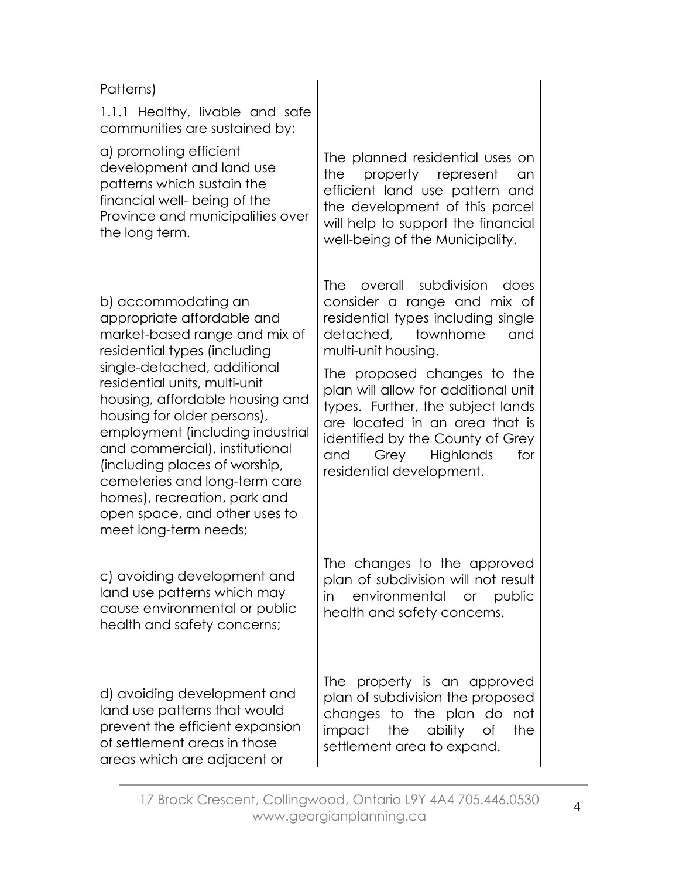| Patterns)                                                                                                                                                                                                                                                                                                                                                                                                                                                                              |                                                                                                                                                                                                                                                                                                                                                                                                                 |
|----------------------------------------------------------------------------------------------------------------------------------------------------------------------------------------------------------------------------------------------------------------------------------------------------------------------------------------------------------------------------------------------------------------------------------------------------------------------------------------|-----------------------------------------------------------------------------------------------------------------------------------------------------------------------------------------------------------------------------------------------------------------------------------------------------------------------------------------------------------------------------------------------------------------|
| 1.1.1 Healthy, livable and safe<br>communities are sustained by:                                                                                                                                                                                                                                                                                                                                                                                                                       |                                                                                                                                                                                                                                                                                                                                                                                                                 |
| a) promoting efficient<br>development and land use<br>patterns which sustain the<br>financial well- being of the<br>Province and municipalities over<br>the long term.                                                                                                                                                                                                                                                                                                                 | The planned residential uses on<br>the<br>property represent<br>an<br>efficient land use pattern and<br>the development of this parcel<br>will help to support the financial<br>well-being of the Municipality.                                                                                                                                                                                                 |
| b) accommodating an<br>appropriate affordable and<br>market-based range and mix of<br>residential types (including<br>single-detached, additional<br>residential units, multi-unit<br>housing, affordable housing and<br>housing for older persons),<br>employment (including industrial<br>and commercial), institutional<br>(including places of worship,<br>cemeteries and long-term care<br>homes), recreation, park and<br>open space, and other uses to<br>meet long-term needs; | overall subdivision<br><b>The</b><br>does<br>consider a range and mix of<br>residential types including single<br>detached, townhome<br>and<br>multi-unit housing.<br>The proposed changes to the<br>plan will allow for additional unit<br>types. Further, the subject lands<br>are located in an area that is<br>identified by the County of Grey<br>and<br>Grey Highlands<br>for<br>residential development. |
| c) avoiding development and<br>land use patterns which may<br>cause environmental or public<br>health and safety concerns;                                                                                                                                                                                                                                                                                                                                                             | The changes to the approved<br>plan of subdivision will not result<br>in<br>environmental or<br>public<br>health and safety concerns.                                                                                                                                                                                                                                                                           |
| d) avoiding development and<br>land use patterns that would<br>prevent the efficient expansion<br>of settlement areas in those<br>areas which are adjacent or                                                                                                                                                                                                                                                                                                                          | The property is an approved<br>plan of subdivision the proposed<br>changes to the plan do<br>not<br>impact the ability<br>the<br>Οf<br>settlement area to expand.                                                                                                                                                                                                                                               |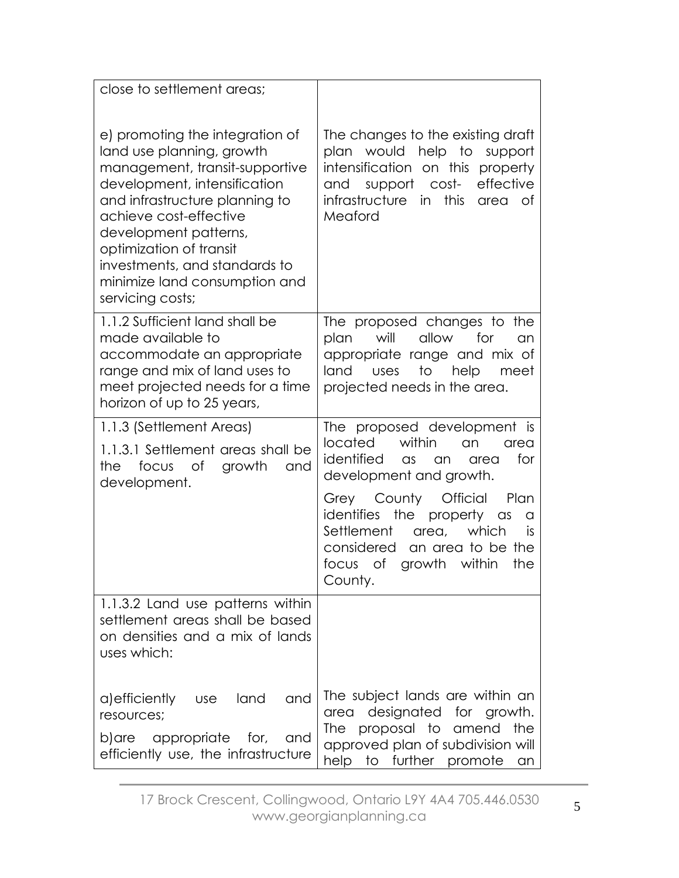| close to settlement areas;                                                                                                                                                                                                                                                                                                           |                                                                                                                                                                                                                                                                                                                                                            |
|--------------------------------------------------------------------------------------------------------------------------------------------------------------------------------------------------------------------------------------------------------------------------------------------------------------------------------------|------------------------------------------------------------------------------------------------------------------------------------------------------------------------------------------------------------------------------------------------------------------------------------------------------------------------------------------------------------|
| e) promoting the integration of<br>land use planning, growth<br>management, transit-supportive<br>development, intensification<br>and infrastructure planning to<br>achieve cost-effective<br>development patterns,<br>optimization of transit<br>investments, and standards to<br>minimize land consumption and<br>servicing costs; | The changes to the existing draft<br>plan would help to<br>support<br>intensification on this property<br>effective<br>and support cost-<br>infrastructure<br>in<br>this<br>0f<br>area<br>Meaford                                                                                                                                                          |
| 1.1.2 Sufficient land shall be<br>made available to<br>accommodate an appropriate<br>range and mix of land uses to<br>meet projected needs for a time<br>horizon of up to 25 years,                                                                                                                                                  | The proposed changes to the<br>will<br>allow<br>for<br>plan<br>an<br>appropriate range and mix of<br>to<br>help<br>land<br><b>USes</b><br>meet<br>projected needs in the area.                                                                                                                                                                             |
| 1.1.3 (Settlement Areas)<br>1.1.3.1 Settlement areas shall be<br>of<br>growth<br>focus<br>the<br>and<br>development.                                                                                                                                                                                                                 | The proposed development is<br>located<br>within<br>an<br>area<br>identified<br>for<br>$\alpha$ s<br>an<br>area<br>development and growth.<br>Grey County Official<br>Plan<br>identifies the<br>property<br>$\alpha$ s<br>a<br>Settlement<br>which<br>area,<br><b>is</b><br>considered<br>an area to be the<br>growth within<br>the<br>focus of<br>County. |
| 1.1.3.2 Land use patterns within<br>settlement areas shall be based<br>on densities and a mix of lands<br>uses which:                                                                                                                                                                                                                |                                                                                                                                                                                                                                                                                                                                                            |
| a) efficiently<br>land<br>and<br><b>use</b><br>resources;<br>appropriate for,<br>b)are<br>and<br>efficiently use, the infrastructure                                                                                                                                                                                                 | The subject lands are within an<br>designated for growth.<br>area<br>proposal to<br>the<br>The<br>amend<br>approved plan of subdivision will<br>help to further promote<br>an                                                                                                                                                                              |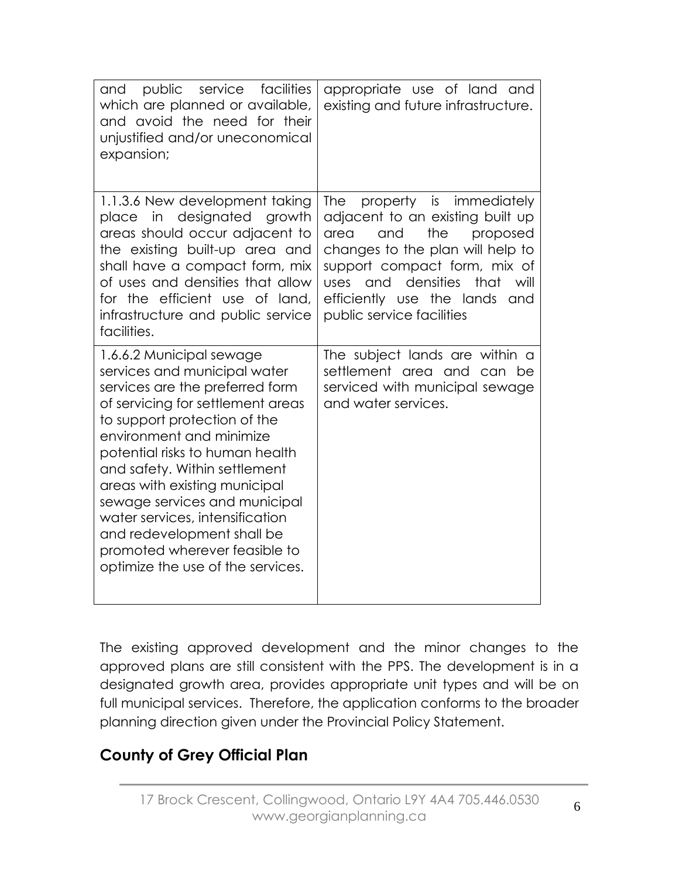| public<br>service facilities<br>and<br>which are planned or available,<br>and avoid the need for their<br>unjustified and/or uneconomical<br>expansion;                                                                                                                                                                                                                                                                                                                   | appropriate use of land and<br>existing and future infrastructure.                                                                                                                                                                                                                           |
|---------------------------------------------------------------------------------------------------------------------------------------------------------------------------------------------------------------------------------------------------------------------------------------------------------------------------------------------------------------------------------------------------------------------------------------------------------------------------|----------------------------------------------------------------------------------------------------------------------------------------------------------------------------------------------------------------------------------------------------------------------------------------------|
| 1.1.3.6 New development taking<br>designated growth<br>in<br>place<br>areas should occur adjacent to<br>the existing built-up area and<br>shall have a compact form, mix<br>of uses and densities that allow<br>for the efficient use of land,<br>infrastructure and public service<br>facilities.                                                                                                                                                                        | <b>The</b><br>property is immediately<br>adjacent to an existing built up<br>the<br>and<br>proposed<br>area<br>changes to the plan will help to<br>support compact form, mix of<br>densities<br>that<br>uses<br>and<br>will<br>efficiently use the lands<br>and<br>public service facilities |
| 1.6.6.2 Municipal sewage<br>services and municipal water<br>services are the preferred form<br>of servicing for settlement areas<br>to support protection of the<br>environment and minimize<br>potential risks to human health<br>and safety. Within settlement<br>areas with existing municipal<br>sewage services and municipal<br>water services, intensification<br>and redevelopment shall be<br>promoted wherever feasible to<br>optimize the use of the services. | The subject lands are within a<br>settlement area and can be<br>serviced with municipal sewage<br>and water services.                                                                                                                                                                        |

The existing approved development and the minor changes to the approved plans are still consistent with the PPS. The development is in a designated growth area, provides appropriate unit types and will be on full municipal services. Therefore, the application conforms to the broader planning direction given under the Provincial Policy Statement.

## **County of Grey Official Plan**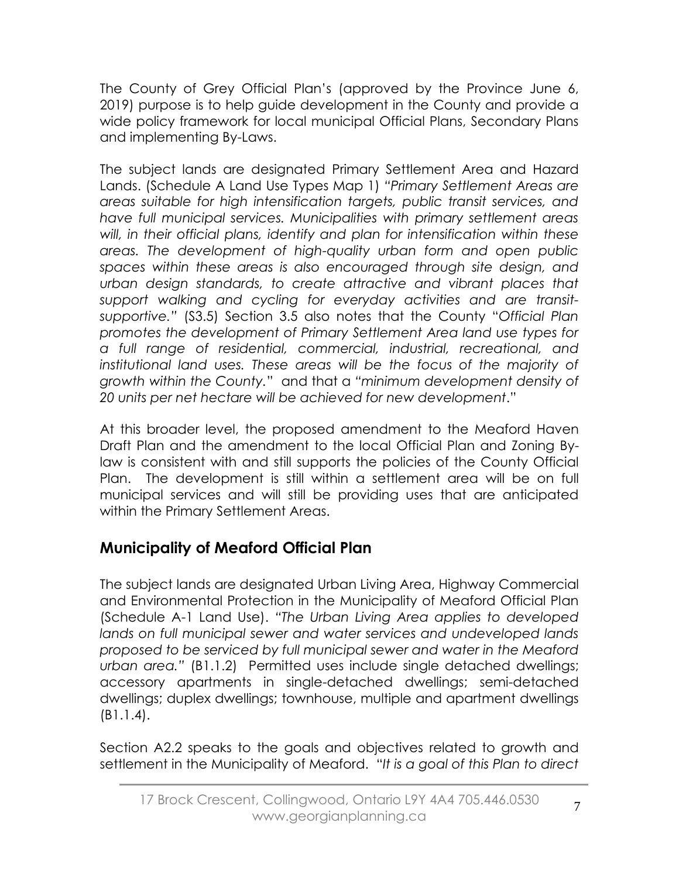The County of Grey Official Plan's (approved by the Province June 6, 2019) purpose is to help guide development in the County and provide a wide policy framework for local municipal Official Plans, Secondary Plans and implementing By-Laws.

The subject lands are designated Primary Settlement Area and Hazard Lands. (Schedule A Land Use Types Map 1) *"Primary Settlement Areas are areas suitable for high intensification targets, public transit services, and have full municipal services. Municipalities with primary settlement areas will, in their official plans, identify and plan for intensification within these areas. The development of high-quality urban form and open public spaces within these areas is also encouraged through site design, and urban design standards, to create attractive and vibrant places that support walking and cycling for everyday activities and are transitsupportive."* (S3.5) Section 3.5 also notes that the County "*Official Plan promotes the development of Primary Settlement Area land use types for a full range of residential, commercial, industrial, recreational, and institutional land uses. These areas will be the focus of the majority of growth within the County.*" and that a *"minimum development density of 20 units per net hectare will be achieved for new development*."

At this broader level, the proposed amendment to the Meaford Haven Draft Plan and the amendment to the local Official Plan and Zoning Bylaw is consistent with and still supports the policies of the County Official Plan. The development is still within a settlement area will be on full municipal services and will still be providing uses that are anticipated within the Primary Settlement Areas.

## **Municipality of Meaford Official Plan**

The subject lands are designated Urban Living Area, Highway Commercial and Environmental Protection in the Municipality of Meaford Official Plan (Schedule A-1 Land Use). *"The Urban Living Area applies to developed lands on full municipal sewer and water services and undeveloped lands proposed to be serviced by full municipal sewer and water in the Meaford urban area."* (B1.1.2) Permitted uses include single detached dwellings; accessory apartments in single-detached dwellings; semi-detached dwellings; duplex dwellings; townhouse, multiple and apartment dwellings (B1.1.4).

Section A2.2 speaks to the goals and objectives related to growth and settlement in the Municipality of Meaford. "*It is a goal of this Plan to direct*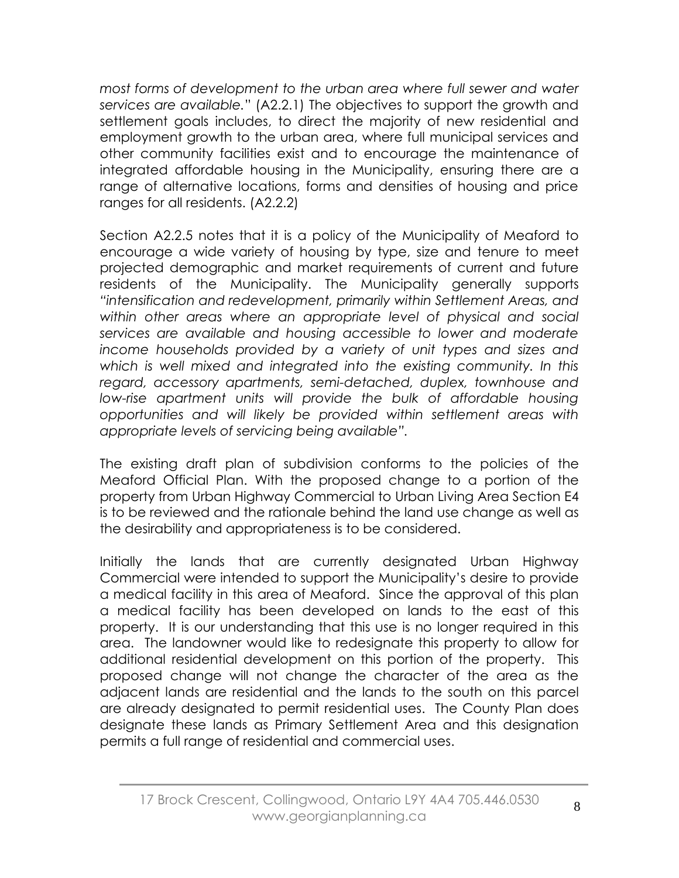*most forms of development to the urban area where full sewer and water services are available.*" (A2.2.1) The objectives to support the growth and settlement goals includes, to direct the majority of new residential and employment growth to the urban area, where full municipal services and other community facilities exist and to encourage the maintenance of integrated affordable housing in the Municipality, ensuring there are a range of alternative locations, forms and densities of housing and price ranges for all residents. (A2.2.2)

Section A2.2.5 notes that it is a policy of the Municipality of Meaford to encourage a wide variety of housing by type, size and tenure to meet projected demographic and market requirements of current and future residents of the Municipality. The Municipality generally supports *"intensification and redevelopment, primarily within Settlement Areas, and within other areas where an appropriate level of physical and social services are available and housing accessible to lower and moderate income households provided by a variety of unit types and sizes and which is well mixed and integrated into the existing community. In this regard, accessory apartments, semi-detached, duplex, townhouse and low-rise apartment units will provide the bulk of affordable housing opportunities and will likely be provided within settlement areas with appropriate levels of servicing being available".*

The existing draft plan of subdivision conforms to the policies of the Meaford Official Plan. With the proposed change to a portion of the property from Urban Highway Commercial to Urban Living Area Section E4 is to be reviewed and the rationale behind the land use change as well as the desirability and appropriateness is to be considered.

Initially the lands that are currently designated Urban Highway Commercial were intended to support the Municipality's desire to provide a medical facility in this area of Meaford. Since the approval of this plan a medical facility has been developed on lands to the east of this property. It is our understanding that this use is no longer required in this area. The landowner would like to redesignate this property to allow for additional residential development on this portion of the property. This proposed change will not change the character of the area as the adjacent lands are residential and the lands to the south on this parcel are already designated to permit residential uses. The County Plan does designate these lands as Primary Settlement Area and this designation permits a full range of residential and commercial uses.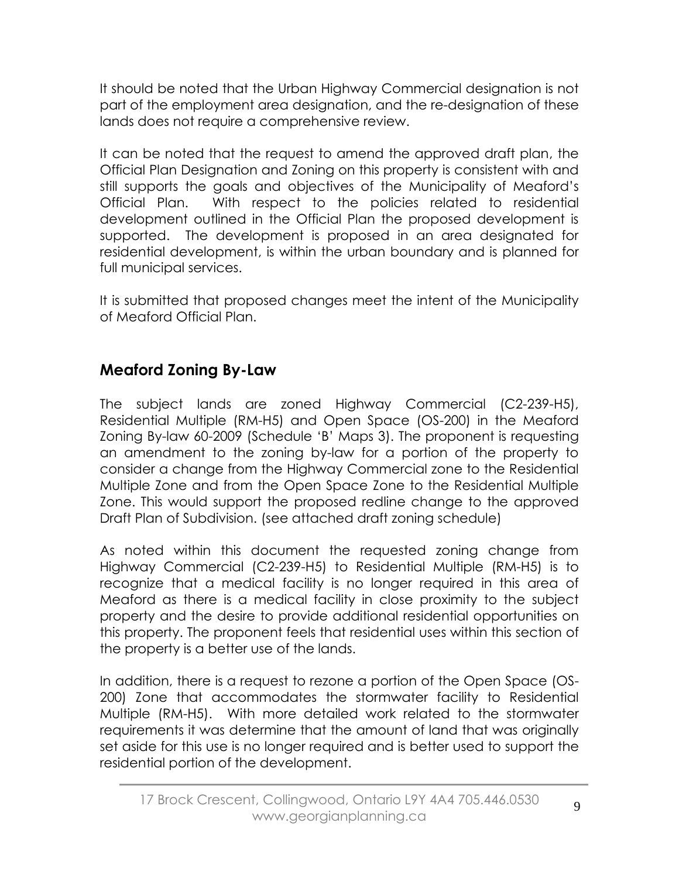It should be noted that the Urban Highway Commercial designation is not part of the employment area designation, and the re-designation of these lands does not require a comprehensive review.

It can be noted that the request to amend the approved draft plan, the Official Plan Designation and Zoning on this property is consistent with and still supports the goals and objectives of the Municipality of Meaford's Official Plan. With respect to the policies related to residential development outlined in the Official Plan the proposed development is supported. The development is proposed in an area designated for residential development, is within the urban boundary and is planned for full municipal services.

It is submitted that proposed changes meet the intent of the Municipality of Meaford Official Plan.

## **Meaford Zoning By-Law**

The subject lands are zoned Highway Commercial (C2-239-H5), Residential Multiple (RM-H5) and Open Space (OS-200) in the Meaford Zoning By-law 60-2009 (Schedule 'B' Maps 3). The proponent is requesting an amendment to the zoning by-law for a portion of the property to consider a change from the Highway Commercial zone to the Residential Multiple Zone and from the Open Space Zone to the Residential Multiple Zone. This would support the proposed redline change to the approved Draft Plan of Subdivision. (see attached draft zoning schedule)

As noted within this document the requested zoning change from Highway Commercial (C2-239-H5) to Residential Multiple (RM-H5) is to recognize that a medical facility is no longer required in this area of Meaford as there is a medical facility in close proximity to the subject property and the desire to provide additional residential opportunities on this property. The proponent feels that residential uses within this section of the property is a better use of the lands.

In addition, there is a request to rezone a portion of the Open Space (OS-200) Zone that accommodates the stormwater facility to Residential Multiple (RM-H5). With more detailed work related to the stormwater requirements it was determine that the amount of land that was originally set aside for this use is no longer required and is better used to support the residential portion of the development.